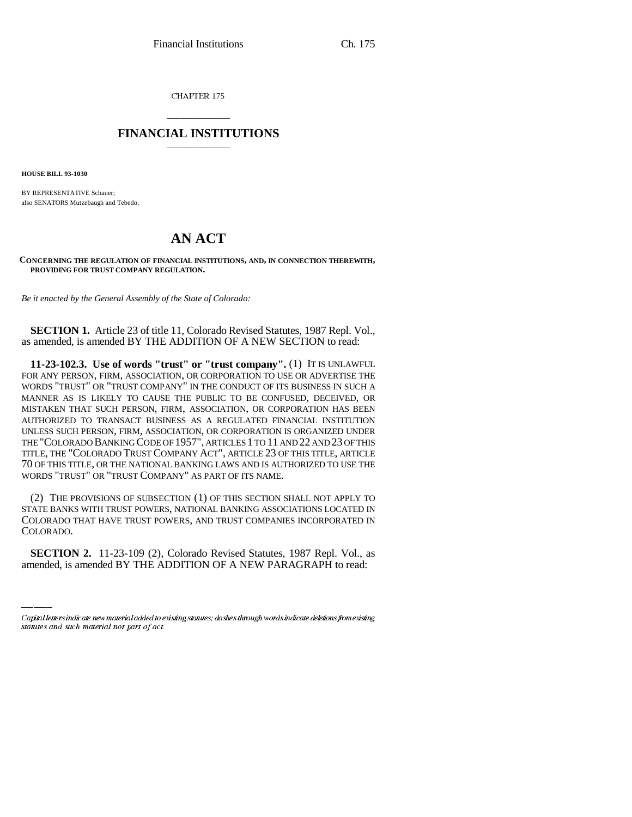CHAPTER 175

## \_\_\_\_\_\_\_\_\_\_\_\_\_\_\_ **FINANCIAL INSTITUTIONS** \_\_\_\_\_\_\_\_\_\_\_\_\_\_\_

**HOUSE BILL 93-1030**

BY REPRESENTATIVE Schauer; also SENATORS Mutzebaugh and Tebedo.

## **AN ACT**

**CONCERNING THE REGULATION OF FINANCIAL INSTITUTIONS, AND, IN CONNECTION THEREWITH, PROVIDING FOR TRUST COMPANY REGULATION.**

*Be it enacted by the General Assembly of the State of Colorado:*

**SECTION 1.** Article 23 of title 11, Colorado Revised Statutes, 1987 Repl. Vol., as amended, is amended BY THE ADDITION OF A NEW SECTION to read:

**11-23-102.3. Use of words "trust" or "trust company".** (1) IT IS UNLAWFUL FOR ANY PERSON, FIRM, ASSOCIATION, OR CORPORATION TO USE OR ADVERTISE THE WORDS "TRUST" OR "TRUST COMPANY" IN THE CONDUCT OF ITS BUSINESS IN SUCH A MANNER AS IS LIKELY TO CAUSE THE PUBLIC TO BE CONFUSED, DECEIVED, OR MISTAKEN THAT SUCH PERSON, FIRM, ASSOCIATION, OR CORPORATION HAS BEEN AUTHORIZED TO TRANSACT BUSINESS AS A REGULATED FINANCIAL INSTITUTION UNLESS SUCH PERSON, FIRM, ASSOCIATION, OR CORPORATION IS ORGANIZED UNDER THE "COLORADO BANKING CODE OF 1957", ARTICLES 1 TO 11 AND 22 AND 23 OF THIS TITLE, THE "COLORADO TRUST COMPANY ACT", ARTICLE 23 OF THIS TITLE, ARTICLE 70 OF THIS TITLE, OR THE NATIONAL BANKING LAWS AND IS AUTHORIZED TO USE THE WORDS "TRUST" OR "TRUST COMPANY" AS PART OF ITS NAME.

COLORADO. (2) THE PROVISIONS OF SUBSECTION (1) OF THIS SECTION SHALL NOT APPLY TO STATE BANKS WITH TRUST POWERS, NATIONAL BANKING ASSOCIATIONS LOCATED IN COLORADO THAT HAVE TRUST POWERS, AND TRUST COMPANIES INCORPORATED IN

**SECTION 2.** 11-23-109 (2), Colorado Revised Statutes, 1987 Repl. Vol., as amended, is amended BY THE ADDITION OF A NEW PARAGRAPH to read:

Capital letters indicate new material added to existing statutes; dashes through words indicate deletions from existing statutes and such material not part of act.